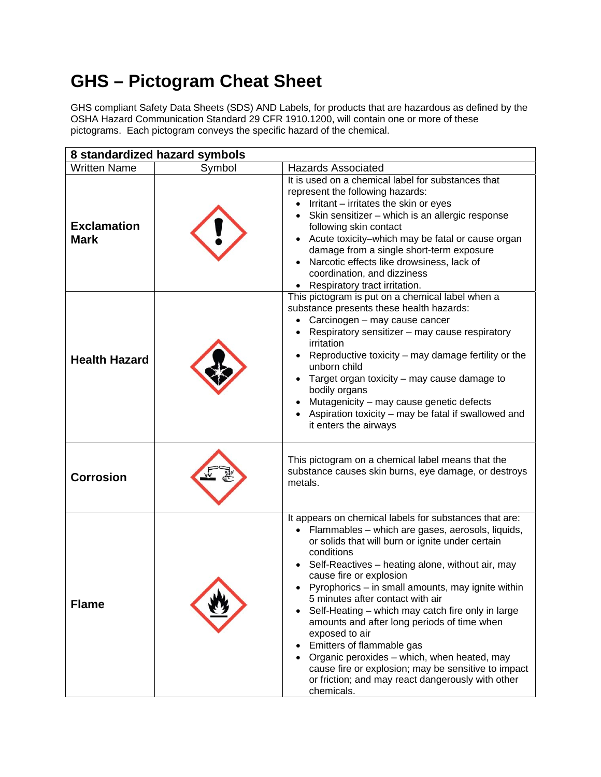## **GHS – Pictogram Cheat Sheet**

GHS compliant Safety Data Sheets (SDS) AND Labels, for products that are hazardous as defined by the OSHA Hazard Communication Standard 29 CFR 1910.1200, will contain one or more of these pictograms. Each pictogram conveys the specific hazard of the chemical.

| 8 standardized hazard symbols     |        |                                                                                                                                                                                                                                                                                                                                                                                                                                                                                                                                                                                                                                                                                               |
|-----------------------------------|--------|-----------------------------------------------------------------------------------------------------------------------------------------------------------------------------------------------------------------------------------------------------------------------------------------------------------------------------------------------------------------------------------------------------------------------------------------------------------------------------------------------------------------------------------------------------------------------------------------------------------------------------------------------------------------------------------------------|
| <b>Written Name</b>               | Symbol | <b>Hazards Associated</b>                                                                                                                                                                                                                                                                                                                                                                                                                                                                                                                                                                                                                                                                     |
| <b>Exclamation</b><br><b>Mark</b> |        | It is used on a chemical label for substances that<br>represent the following hazards:<br>Irritant - irritates the skin or eyes<br>$\bullet$<br>Skin sensitizer - which is an allergic response<br>following skin contact<br>Acute toxicity-which may be fatal or cause organ<br>damage from a single short-term exposure<br>Narcotic effects like drowsiness, lack of<br>coordination, and dizziness<br>• Respiratory tract irritation.                                                                                                                                                                                                                                                      |
| <b>Health Hazard</b>              |        | This pictogram is put on a chemical label when a<br>substance presents these health hazards:<br>Carcinogen - may cause cancer<br>Respiratory sensitizer - may cause respiratory<br>irritation<br>Reproductive toxicity – may damage fertility or the<br>unborn child<br>Target organ toxicity – may cause damage to<br>bodily organs<br>Mutagenicity - may cause genetic defects<br>Aspiration toxicity - may be fatal if swallowed and<br>it enters the airways                                                                                                                                                                                                                              |
| <b>Corrosion</b>                  |        | This pictogram on a chemical label means that the<br>substance causes skin burns, eye damage, or destroys<br>metals.                                                                                                                                                                                                                                                                                                                                                                                                                                                                                                                                                                          |
| <b>Flame</b>                      |        | It appears on chemical labels for substances that are:<br>Flammables - which are gases, aerosols, liquids,<br>or solids that will burn or ignite under certain<br>conditions<br>Self-Reactives - heating alone, without air, may<br>cause fire or explosion<br>Pyrophorics - in small amounts, may ignite within<br>5 minutes after contact with air<br>Self-Heating – which may catch fire only in large<br>amounts and after long periods of time when<br>exposed to air<br>Emitters of flammable gas<br>$\bullet$<br>Organic peroxides - which, when heated, may<br>cause fire or explosion; may be sensitive to impact<br>or friction; and may react dangerously with other<br>chemicals. |